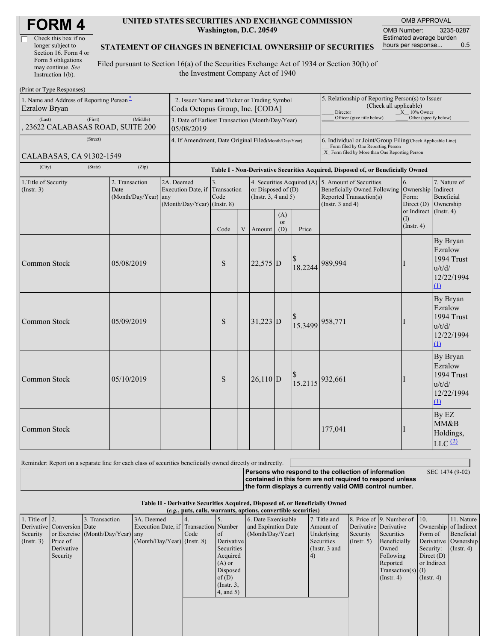| <b>FORM4</b> |
|--------------|
|--------------|

| Check this box if no  |
|-----------------------|
| longer subject to     |
| Section 16. Form 4 or |
| Form 5 obligations    |
| may continue. See     |
| Instruction 1(b).     |

#### **UNITED STATES SECURITIES AND EXCHANGE COMMISSION Washington, D.C. 20549**

OMB APPROVAL OMB Number: 3235-0287 Estimated average burden hours per response... 0.5

#### **STATEMENT OF CHANGES IN BENEFICIAL OWNERSHIP OF SECURITIES**

Filed pursuant to Section 16(a) of the Securities Exchange Act of 1934 or Section 30(h) of the Investment Company Act of 1940

| (Print or Type Responses)                                                                  |                                                                                |            |                                                                               |      |                                                                                |                                                                                                                                                    |                                                                                                            |                                                                                                                                |                                   |                                         |                                                                       |
|--------------------------------------------------------------------------------------------|--------------------------------------------------------------------------------|------------|-------------------------------------------------------------------------------|------|--------------------------------------------------------------------------------|----------------------------------------------------------------------------------------------------------------------------------------------------|------------------------------------------------------------------------------------------------------------|--------------------------------------------------------------------------------------------------------------------------------|-----------------------------------|-----------------------------------------|-----------------------------------------------------------------------|
| 1. Name and Address of Reporting Person <sup>*</sup><br><b>Ezralow Bryan</b>               | 2. Issuer Name and Ticker or Trading Symbol<br>Coda Octopus Group, Inc. [CODA] |            |                                                                               |      |                                                                                |                                                                                                                                                    | 5. Relationship of Reporting Person(s) to Issuer<br>(Check all applicable)<br>$X = 10\%$ Owner<br>Director |                                                                                                                                |                                   |                                         |                                                                       |
| (Last)<br>23622 CALABASAS ROAD, SUITE 200                                                  | 3. Date of Earliest Transaction (Month/Day/Year)<br>05/08/2019                 |            |                                                                               |      |                                                                                | Officer (give title below)                                                                                                                         | Other (specify below)                                                                                      |                                                                                                                                |                                   |                                         |                                                                       |
| CALABASAS, CA 91302-1549                                                                   | 4. If Amendment, Date Original Filed(Month/Day/Year)                           |            |                                                                               |      |                                                                                | 6. Individual or Joint/Group Filing(Check Applicable Line)<br>Form filed by One Reporting Person<br>X Form filed by More than One Reporting Person |                                                                                                            |                                                                                                                                |                                   |                                         |                                                                       |
| (City)                                                                                     |                                                                                |            |                                                                               |      |                                                                                | Table I - Non-Derivative Securities Acquired, Disposed of, or Beneficially Owned                                                                   |                                                                                                            |                                                                                                                                |                                   |                                         |                                                                       |
| 2. Transaction<br>1. Title of Security<br>$($ Instr. 3 $)$<br>Date<br>(Month/Day/Year) any |                                                                                | 2A. Deemed | 3.<br>Execution Date, if Transaction<br>Code<br>$(Month/Day/Year)$ (Instr. 8) |      | 4. Securities Acquired (A)<br>or Disposed of $(D)$<br>(Instr. $3, 4$ and $5$ ) |                                                                                                                                                    |                                                                                                            | 5. Amount of Securities<br>Beneficially Owned Following Ownership Indirect<br>Reported Transaction(s)<br>(Instr. $3$ and $4$ ) | 6.<br>Form:<br>Direct (D)         | 7. Nature of<br>Beneficial<br>Ownership |                                                                       |
|                                                                                            |                                                                                |            |                                                                               | Code |                                                                                | V Amount                                                                                                                                           | (A)<br><b>or</b><br>(D)                                                                                    | Price                                                                                                                          | or Indirect<br>(I)<br>(Insert. 4) |                                         | $($ Instr. 4 $)$                                                      |
| Common Stock                                                                               |                                                                                | 05/08/2019 |                                                                               | S    |                                                                                | $22,575$ D                                                                                                                                         |                                                                                                            | 18.2244                                                                                                                        | 989.994                           |                                         | By Bryan<br>Ezralow<br>1994 Trust<br>u/t/d/<br>12/22/1994<br>$\Omega$ |
| <b>Common Stock</b>                                                                        |                                                                                | 05/09/2019 |                                                                               | S    |                                                                                | $31,223$ D                                                                                                                                         |                                                                                                            | 15.3499                                                                                                                        | 958,771                           |                                         | By Bryan<br>Ezralow<br>1994 Trust<br>u/t/d/<br>12/22/1994<br>$\Omega$ |
| Common Stock                                                                               |                                                                                | 05/10/2019 |                                                                               | S    |                                                                                | $26,110$ D                                                                                                                                         |                                                                                                            | 15.2115                                                                                                                        | 932,661                           |                                         | By Bryan<br>Ezralow<br>1994 Trust<br>u/t/d/<br>12/22/1994<br>(1)      |
| Common Stock                                                                               |                                                                                |            |                                                                               |      |                                                                                |                                                                                                                                                    |                                                                                                            |                                                                                                                                | 177,041                           |                                         | By EZ<br>MM&B<br>Holdings,<br>$LLC$ $(2)$                             |

Reminder: Report on a separate line for each class of securities beneficially owned directly or indirectly.

**Persons who respond to the collection of information contained in this form are not required to respond unless the form displays a currently valid OMB control number.**

SEC 1474 (9-02)

**Table II - Derivative Securities Acquired, Disposed of, or Beneficially Owned**

| 1. Title of $\vert$ 2.<br>8. Price of 9. Number of 10.<br>7. Title and<br>3. Transaction<br>3A. Deemed<br>6. Date Exercisable        | 11. Nature                    |
|--------------------------------------------------------------------------------------------------------------------------------------|-------------------------------|
| Execution Date, if Transaction Number<br>and Expiration Date<br>Derivative Derivative<br>Derivative Conversion Date<br>Amount of     | Ownership of Indirect         |
| (Month/Day/Year)<br>or Exercise (Month/Day/Year) any<br>Underlying<br>Security<br>Security<br>Securities<br>Form of<br>Code<br>of of | Beneficial                    |
| Derivative<br>$(Month/Day/Year)$ (Instr. 8)<br>Securities<br>Beneficially<br>(Insert. 3)<br>Price of<br>$($ Instr. 5 $)$             | Derivative Ownership          |
| Derivative<br>Securities<br>(Instr. $3$ and<br>Owned                                                                                 | Security: $(\text{Instr. 4})$ |
| Acquired<br>Following<br>Security<br>Direct $(D)$<br>(4)                                                                             |                               |
| Reported<br>or Indirect<br>$(A)$ or                                                                                                  |                               |
| Disposed<br>$Transaction(s)$ (I)                                                                                                     |                               |
| of(D)<br>$($ Instr. 4 $)$<br>$($ Instr. 4 $)$                                                                                        |                               |
| $($ Instr. $3,$                                                                                                                      |                               |
| 4, and 5)                                                                                                                            |                               |
|                                                                                                                                      |                               |
|                                                                                                                                      |                               |
|                                                                                                                                      |                               |
|                                                                                                                                      |                               |